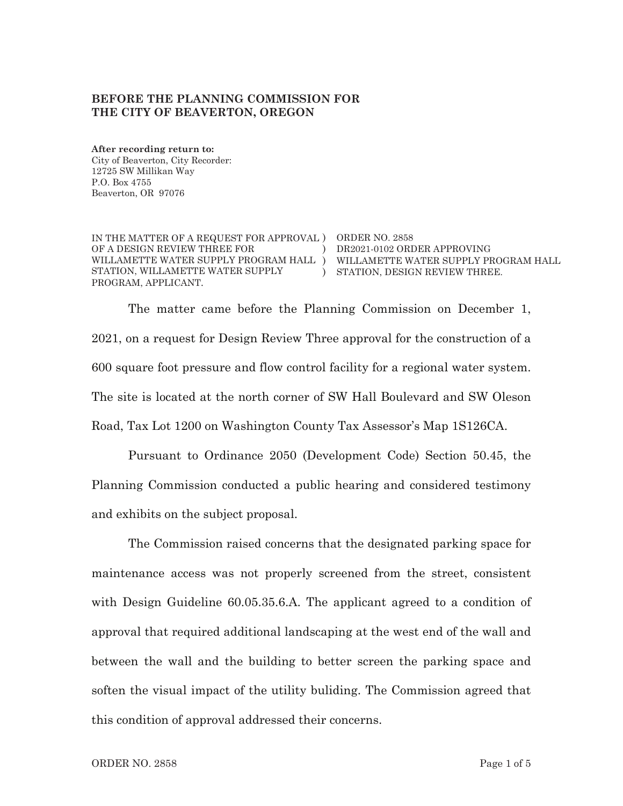### BEFORE THE PLANNING COMMISSION FOR THE CITY OF BEAVERTON, OREGON

After recording return to: City of Beaverton, City Recorder: 12725 SW Millikan Way P.O. Box 4755 Beaverton, OR 97076

IN THE MATTER OF A REQUEST FOR APPROVAL ) ORDER NO. 2858 OF A DESIGN REVIEW THREE FOR WILLAMETTE WATER SUPPLY PROGRAM HALL ) WILLAMETTE WATER SUPPLY PROGRAM HALL STATION, WILLAMETTE WATER SUPPLY PROGRAM, APPLICANT.

) DR2021-0102 ORDER APPROVING ) STATION. DESIGN REVIEW THREE.

The matter came before the Planning Commission on December 1. 2021, on a request for Design Review Three approval for the construction of a 600 square foot pressure and flow control facility for a regional water system. The site is located at the north corner of SW Hall Boulevard and SW Oleson Road, Tax Lot 1200 on Washington County Tax Assessor's Map 1S126CA.

Pursuant to Ordinance 2050 (Development Code) Section 50.45, the Planning Commission conducted a public hearing and considered testimony and exhibits on the subject proposal.

The Commission raised concerns that the designated parking space for maintenance access was not properly screened from the street, consistent with Design Guideline 60.05.35.6.A. The applicant agreed to a condition of approval that required additional landscaping at the west end of the wall and between the wall and the building to better screen the parking space and soften the visual impact of the utility buliding. The Commission agreed that this condition of approval addressed their concerns.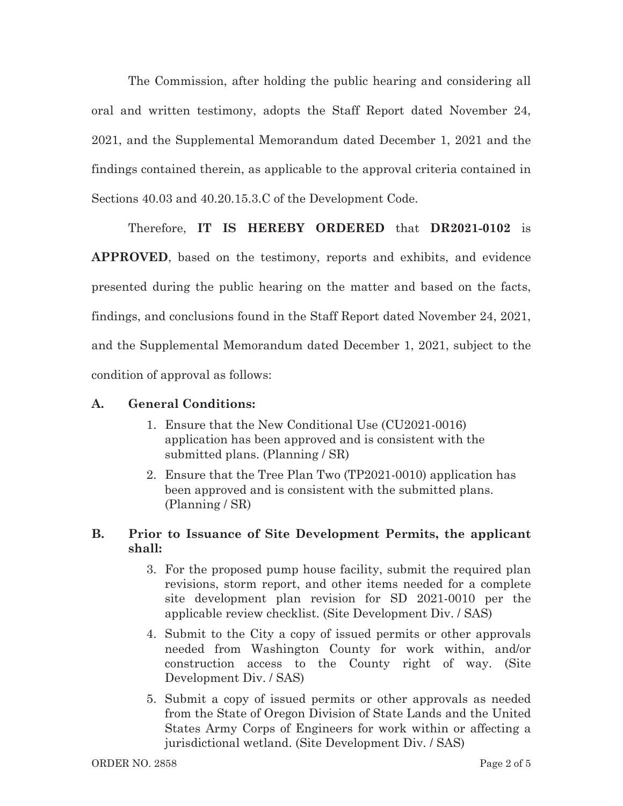The Commission, after holding the public hearing and considering all oral and written testimony, adopts the Staff Report dated November 24, 2021, and the Supplemental Memorandum dated December 1, 2021 and the findings contained therein, as applicable to the approval criteria contained in Sections  $40.03$  and  $40.20.15.3.C$  of the Development Code.

Therefore, IT IS HEREBY ORDERED that DR2021-0102 is

**APPROVED**, based on the testimony, reports and exhibits, and evidence presented during the public hearing on the matter and based on the facts, findings, and conclusions found in the Staff Report dated November 24, 2021, and the Supplemental Memorandum dated December 1, 2021, subject to the condition of approval as follows:

### **A.** General Conditions:

- 1. Ensure that the New Conditional Use (CU2021-0016) application has been approved and is consistent with the submitted plans. (Planning / SR)
- 2. Ensure that the Tree Plan Two  $(TP2021-0010)$  application has been approved and is consistent with the submitted plans.  $(Planning / SR)$

#### **B**. **.** Prior to Issuance of Site Development Permits, the applicant  $\mathbf{shall:}$

- 3. For the proposed pump house facility, submit the required plan revisions, storm report, and other items needed for a complete site development plan revision for SD  $2021-0010$  per the applicable review checklist. (Site Development Div. / SAS)
- 4. Submit to the City a copy of issued permits or other approvals needed from Washington County for work within, and/or construction access to the County right of way. (Site Development Div. / SAS)
- 5. Submit a copy of issued permits or other approvals as needed from the State of Oregon Division of State Lands and the United States Army Corps of Engineers for work within or affecting a jurisdictional wetland. (Site Development Div. / SAS)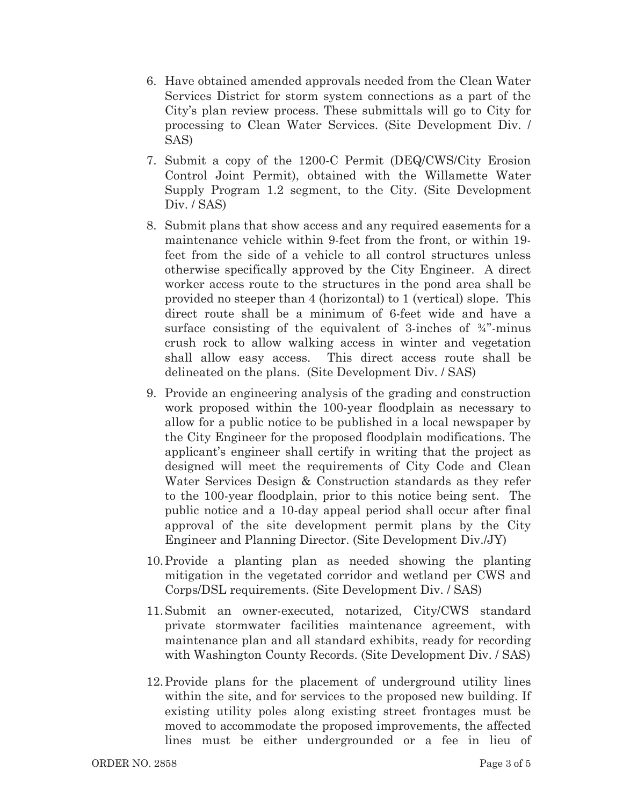- 6. Have obtained amended approvals needed from the Clean Water Services District for storm system connections as a part of the City's plan review process. These submittals will go to City for processing to Clean Water Services. (Site Development Div. / SAS)
- 7. Submit a copy of the 1200-C Permit (DEQ/CWS/City Erosion Control Joint Permit), obtained with the Willamette Water Supply Program  $1.2$  segment, to the City. (Site Development Div. / SAS)
- 8. Submit plans that show access and any required easements for a maintenance vehicle within 9-feet from the front, or within 19feet from the side of a vehicle to all control structures unless otherwise specifically approved by the City Engineer. A direct worker access route to the structures in the pond area shall be provided no steeper than 4 (horizontal) to 1 (vertical) slope. This direct route shall be a minimum of 6-feet wide and have a surface consisting of the equivalent of 3-inches of  $\frac{3}{4}$  minus crush rock to allow walking access in winter and vegetation shall allow easy access. This direct access route shall be delineated on the plans. (Site Development Div. / SAS)
- 9. Provide an engineering analysis of the grading and construction work proposed within the 100-year floodplain as necessary to allow for a public notice to be published in a local newspaper by the City Engineer for the proposed floodplain modifications. The applicant's engineer shall certify in writing that the project as designed will meet the requirements of City Code and Clean Water Services Design & Construction standards as they refer to the 100-year floodplain, prior to this notice being sent. The public notice and a 10-day appeal period shall occur after final approval of the site development permit plans by the City Engineer and Planning Director. (Site Development Div./JY)
- 10. Provide a planting plan as needed showing the planting mitigation in the vegetated corridor and wetland per CWS and Corps/DSL requirements. (Site Development Div. / SAS)
- 11. Submit an owner-executed, notarized, City/CWS standard private stormwater facilities maintenance agreement, with maintenance plan and all standard exhibits, ready for recording with Washington County Records. (Site Development Div. / SAS)
- 12. Provide plans for the placement of underground utility lines within the site, and for services to the proposed new building. If existing utility poles along existing street frontages must be moved to accommodate the proposed improvements, the affected lines must be either undergrounded or a fee in lieu of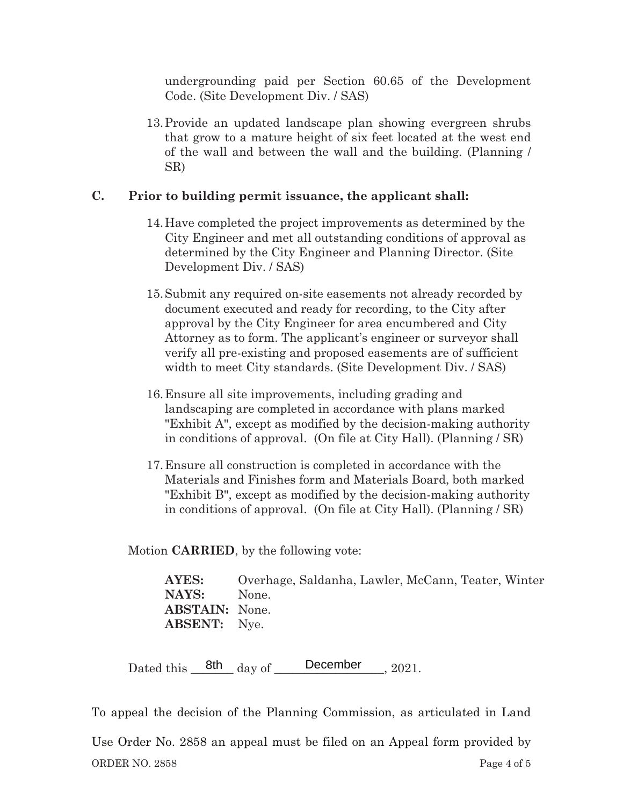undergrounding paid per Section  $60.65$  of the Development Code. (Site Development Div. / SAS)

13. Provide an updated landscape plan showing evergreen shrubs that grow to a mature height of six feet located at the west end of the wall and between the wall and the building. (Planning / SR)

# **2.** Prior to building permit issuance, the applicant shall:

- 14. Have completed the project improvements as determined by the City Engineer and met all outstanding conditions of approval as determined by the City Engineer and Planning Director. (Site Development Div. / SAS)
- 15. Submit any required on-site easements not already recorded by document executed and ready for recording, to the City after approval by the City Engineer for area encumbered and City Attorney as to form. The applicant's engineer or surveyor shall verify all pre-existing and proposed easements are of sufficient width to meet City standards. (Site Development Div. / SAS)
- 16. Ensure all site improvements, including grading and landscaping are completed in accordance with plans marked "Exhibit A", except as modified by the decision-making authority in conditions of approval. (On file at City Hall). (Planning  $/$  SR)
- 17. Ensure all construction is completed in accordance with the Materials and Finishes form and Materials Board, both marked "Exhibit B", except as modified by the decision-making authority in conditions of approval. (On file at City Hall). (Planning  $/$  SR)

Motion **CARRIED**, by the following vote:

**AYES:** Overhage, Saldanha, Lawler, McCann, Teater, Winter **NAYS:** None **ABSTAIN:** None. **ABSENT:** Nye.

Dated this  $\frac{8th}{\text{day of}}$  December 2021.

To appeal the decision of the Planning Commission, as articulated in Land

ORDER NO. Page 4 of 5 Use Order No. 2858 an appeal must be filed on an Appeal form provided by